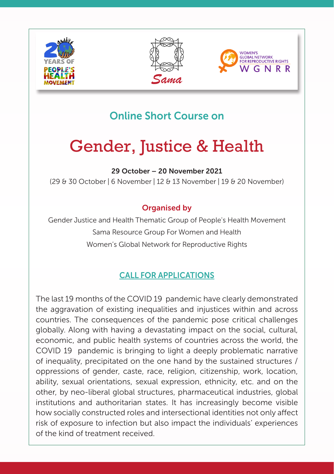





# Online Short Course on

# Gender, Justice & Health

29 October – 20 November 2021

(29 & 30 October | 6 November | 12 & 13 November | 19 & 20 November)

## Organised by

Gender Justice and Health Thematic Group of People's Health Movement Sama Resource Group For Women and Health Women's Global Network for Reproductive Rights

# CALL FOR APPLICATIONS

The last 19 months of the COVID 19 pandemic have clearly demonstrated the aggravation of existing inequalities and injustices within and across countries. The consequences of the pandemic pose critical challenges globally. Along with having a devastating impact on the social, cultural, economic, and public health systems of countries across the world, the COVID 19 pandemic is bringing to light a deeply problematic narrative of inequality, precipitated on the one hand by the sustained structures / oppressions of gender, caste, race, religion, citizenship, work, location, ability, sexual orientations, sexual expression, ethnicity, etc. and on the other, by neo-liberal global structures, pharmaceutical industries, global institutions and authoritarian states. It has increasingly become visible how socially constructed roles and intersectional identities not only affect risk of exposure to infection but also impact the individuals' experiences of the kind of treatment received.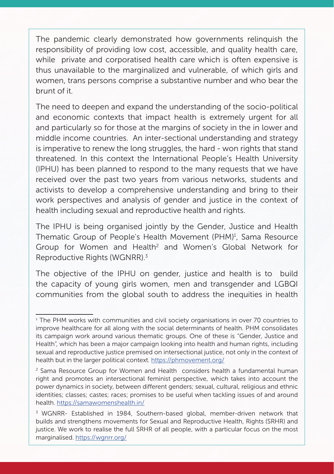The pandemic clearly demonstrated how governments relinquish the responsibility of providing low cost, accessible, and quality health care, while private and corporatised health care which is often expensive is thus unavailable to the marginalized and vulnerable, of which girls and women, trans persons comprise a substantive number and who bear the brunt of it.

The need to deepen and expand the understanding of the socio-political and economic contexts that impact health is extremely urgent for all and particularly so for those at the margins of society in the in lower and middle income countries. An inter-sectional understanding and strategy is imperative to renew the long struggles, the hard - won rights that stand threatened. In this context the International People's Health University (IPHU) has been planned to respond to the many requests that we have received over the past two years from various networks, students and activists to develop a comprehensive understanding and bring to their work perspectives and analysis of gender and justice in the context of health including sexual and reproductive health and rights.

The IPHU is being organised jointly by the Gender, Justice and Health Thematic Group of People's Health Movement (PHM)<sup>1</sup>, Sama Resource Group for Women and Health<sup>2</sup> and Women's Global Network for Reproductive Rights (WGNRR).3

The objective of the IPHU on gender, justice and health is to build the capacity of young girls women, men and transgender and LGBQI communities from the global south to address the inequities in health

<sup>1</sup> The PHM works with communities and civil society organisations in over 70 countries to improve healthcare for all along with the social determinants of health. PHM consolidates its campaign work around various thematic groups. One of these is "Gender, Justice and Health", which has been a major campaign looking into health and human rights, including sexual and reproductive justice premised on intersectional justice, not only in the context of health but in the larger political context.<https://phmovement.org/>

<sup>&</sup>lt;sup>2</sup> Sama Resource Group for Women and Health considers health a fundamental human right and promotes an intersectional feminist perspective, which takes into account the power dynamics in society, between different genders; sexual, cultural, religious and ethnic identities; classes; castes; races; promises to be useful when tackling issues of and around health.<https://samawomenshealth.in/>

<sup>&</sup>lt;sup>3</sup> WGNRR- Established in 1984, Southern-based global, member-driven network that builds and strengthens movements for Sexual and Reproductive Health, Rights (SRHR) and justice. We work to realise the full SRHR of all people, with a particular focus on the most marginalised. [https://wgnrr.org/](https://wgnrr.org)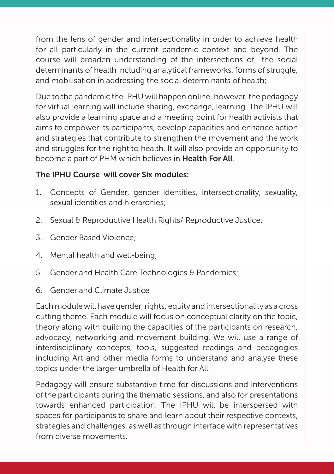from the lens of gender and intersectionality in order to achieve health for all particularly in the current pandemic context and beyond. The course will broaden understanding of the intersections of the social determinants of health including analytical frameworks, forms of struggle, and mobilisation in addressing the social determinants of health;

Due to the pandemic the IPHU will happen online, however, the pedagogy for virtual learning will include sharing, exchange, learning. The IPHU will also provide a learning space and a meeting point for health activists that aims to empower its participants, develop capacities and enhance action and strategies that contribute to strengthen the movement and the work and struggles for the right to health. It will also provide an opportunity to become a part of PHM which believes in Health For All.

### The IPHU Course will cover Six modules:

- 1. Concepts of Gender, gender identities, intersectionality, sexuality, sexual identities and hierarchies;
- 2. Sexual & Reproductive Health Rights/ Reproductive Justice:
- 3. Gender Based Violence;
- 4. Mental health and well-being;
- 5. Gender and Health Care Technologies & Pandemics;
- 6. Gender and Climate Justice

Each module will have gender, rights, equity and intersectionality as a cross cutting theme. Each module will focus on conceptual clarity on the topic, theory along with building the capacities of the participants on research, advocacy, networking and movement building. We will use a range of interdisciplinary concepts, tools, suggested readings and pedagogies including Art and other media forms to understand and analyse these topics under the larger umbrella of Health for All.

Pedagogy will ensure substantive time for discussions and interventions of the participants during the thematic sessions, and also for presentations towards enhanced participation. The IPHU will be interspersed with spaces for participants to share and learn about their respective contexts, strategies and challenges, as well as through interface with representatives from diverse movements.